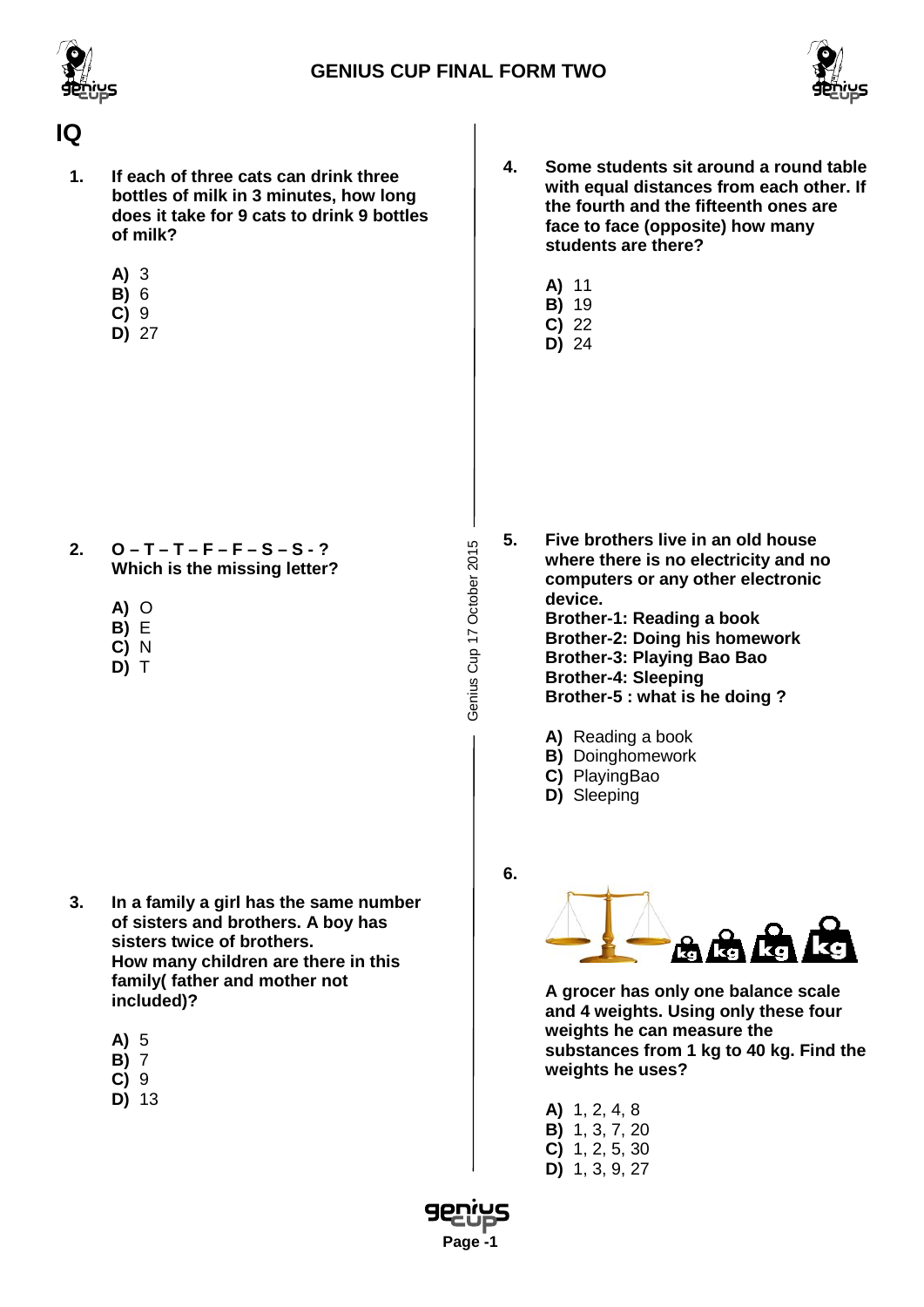



#### **IQ**

- **1. If each of three cats can drink three bottles of milk in 3 minutes, how long does it take for 9 cats to drink 9 bottles of milk?**
	- **A)** 3
	- **B)** 6
	- **C)** 9
	- **D)** 27
- **4. Some students sit around a round table with equal distances from each other. If the fourth and the fifteenth ones are face to face (opposite) how many students are there?**
	- **A)** 11
	- **B)** 19
	- **C)** 22 **D)** 24

- **2. O – T – T – F – F – S – S - ? Which is the missing letter?**
	- **A)** O
	-
	-
	- **D)** T
	- - **B)** E
		- **C)** N
		-

- **3. In a family a girl has the same number of sisters and brothers. A boy has sisters twice of brothers. How many children are there in this family( father and mother not included)?**
	- **A)** 5
	- **B)** 7
	- **C)** 9
	- **D)** 13

**5. Five brothers live in an old house where there is no electricity and no computers or any other electronic device. Brother-1: Reading a book Brother-2: Doing his homework Brother-3: Playing Bao Bao Brother-4: Sleeping Brother-5 : what is he doing ?**

- **A)** Reading a book
- **B)** Doinghomework
- **C)** PlayingBao
- **D)** Sleeping
- **6.**

Genius Cup 17 October 2015

Genius Cup 17 October 2015



**A grocer has only one balance scale and 4 weights. Using only these four weights he can measure the substances from 1 kg to 40 kg. Find the weights he uses?**

- **A)** 1, 2, 4, 8 **B)** 1, 3, 7, 20 **C)** 1, 2, 5, 30
- **D)** 1, 3, 9, 27

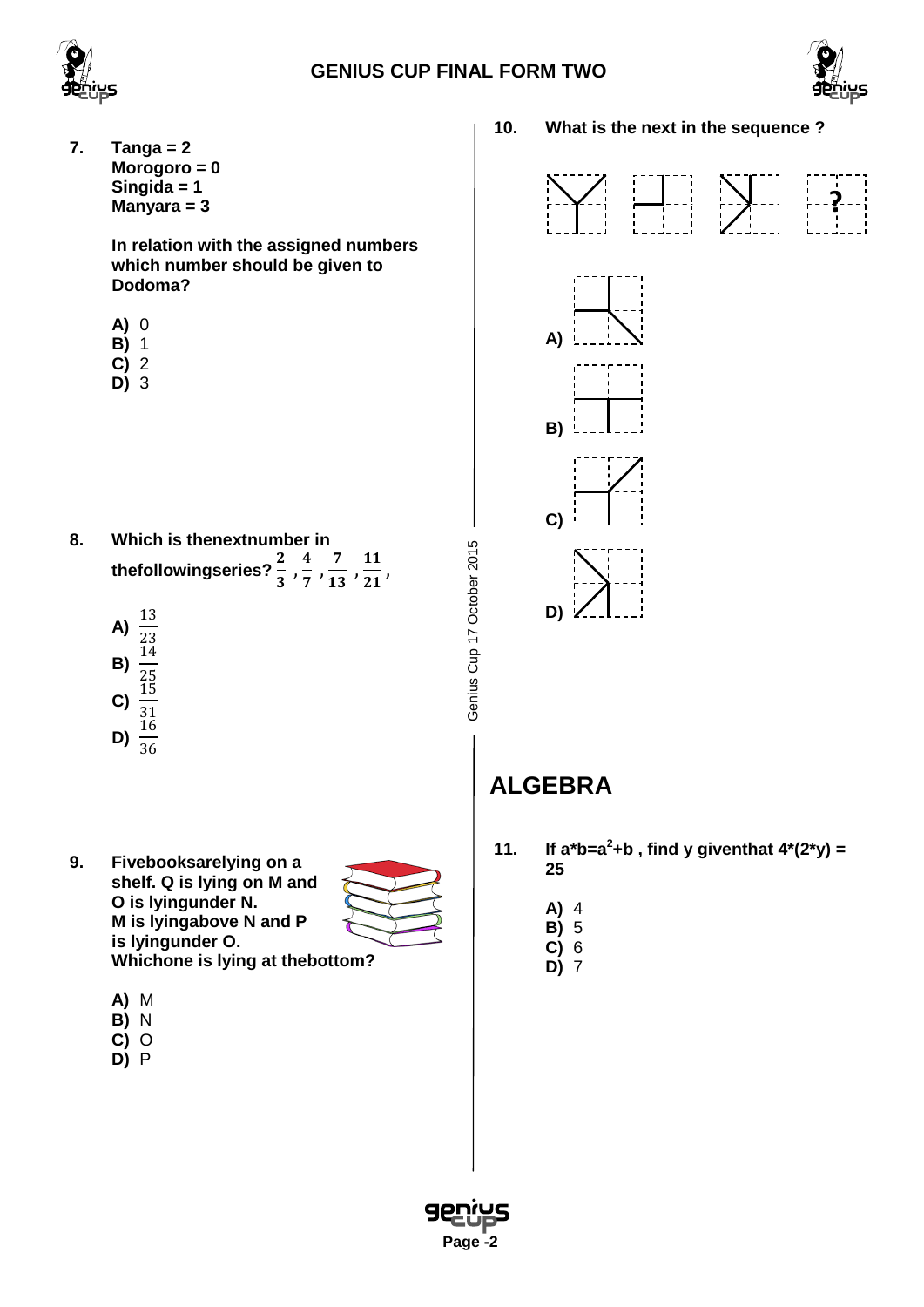





**10. What is the next in the sequence ? 7. Tanga = 2 Morogoro = 0 Singida = 1**   $\sum_{i=1}^{n}$  $\begin{bmatrix} 1 & 1 \\ 1 & 1 \end{bmatrix} = -\frac{1}{2}$ **? Manyara = 3 In relation with the assigned numbers which number should be given to Dodoma? A)** 0 **A) B)** 1 **C)** 2 **D)** 3 **B) C) 8. Which is thenextnumber in**  Genius Cup 17 October 2015 Genius Cup 17 October 2015 thefollowingseries?  $\frac{2}{3}$ ,  $\frac{4}{7}$ ,  $\frac{7}{13}$ ,  $\frac{11}{21}$ , **D)**  $\frac{13}{1}$ **A)** 23 14 **B)** 45<br>1F <u>נד</u> **C)** 31<br>17 16 **D)** 36 **ALGEBRA 11.** If  $a^*b = a^2 + b$ , find y giventhat  $4^*(2^*y) =$ **9. Fivebooksarelying on a 25 shelf. Q is lying on M and O is lyingunder N. A)** 4 **M is lyingabove N and P B)** 5 **is lyingunder O. C)** 6 **Whichone is lying at thebottom? D)** 7 **A)** M **B)** N **C)** O **D)** P

 **Page -2**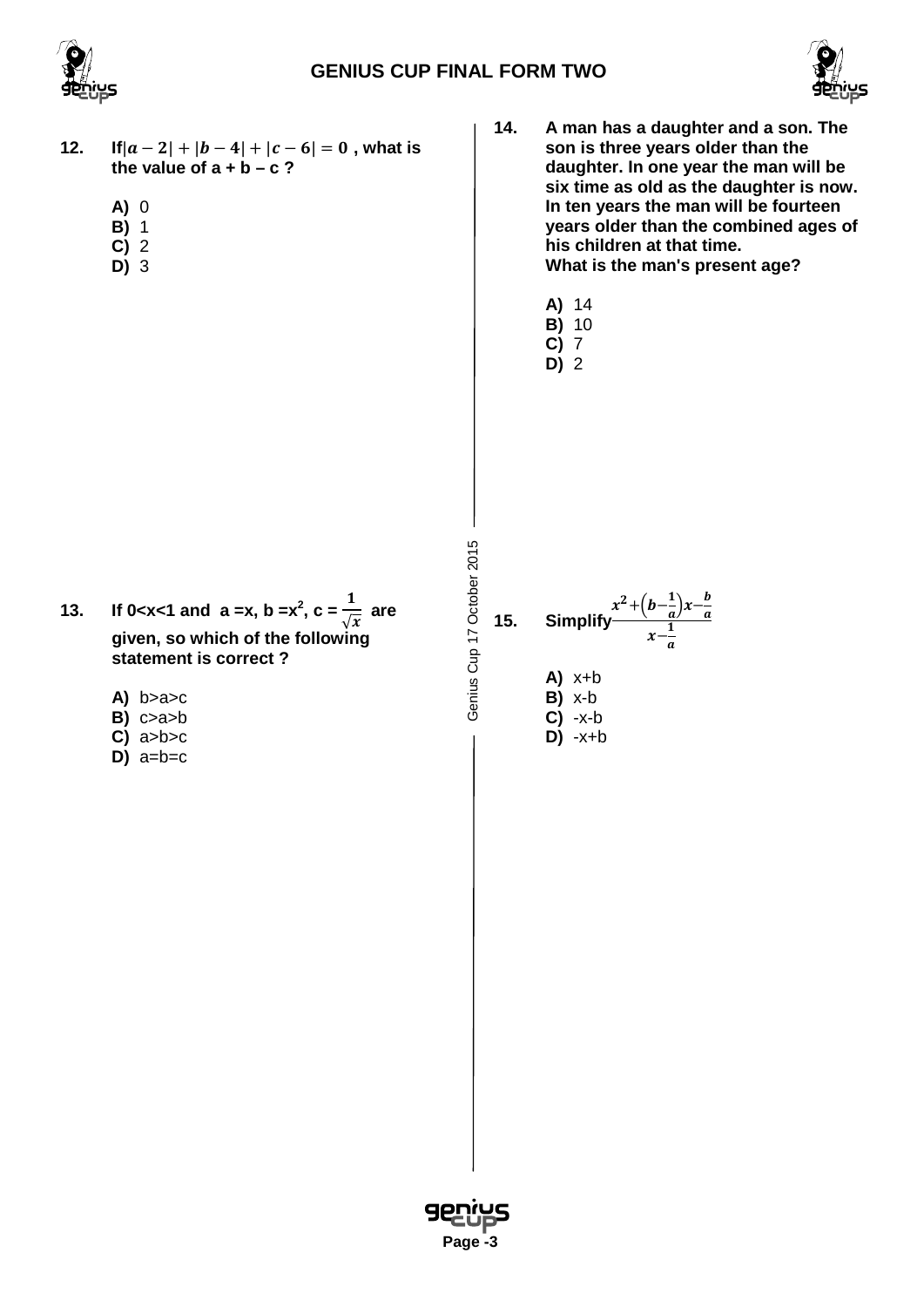



- **12. If** $|a-2| + |b-4| + |c-6| = 0$ , what is the value of  $a + b - c$ ?
	- **A)** 0
	- **B)** 1
	- **C)** 2
	- **D)** 3
- **14. A man has a daughter and a son. The son is three years older than the daughter. In one year the man will be six time as old as the daughter is now. In ten years the man will be fourteen years older than the combined ages of his children at that time. What is the man's present age?**
	- **A)** 14
	- **B)** 10
	- **C)** 7 **D)** 2

- **13. If 0**<x<1 and a =x, b =x<sup>2</sup>, c =  $\frac{1}{6}$  $\sqrt{x}$  **are given, so which of the following statement is correct ?**
	- **A)** b>a>c
	- **B)** c>a>b
	- **C)** a>b>c
	- $\overline{D}$  $a=b=c$

Genius Cup 17 October 2015 Genius Cup 17 October 2015

 **Page -3**

15. Simplify 
$$
\frac{x^2 + (b - \frac{1}{a})x - \frac{b}{a}}{x - \frac{1}{a}}
$$
  
\nA) x+b  
\nB) x-b

**C)** -x-b **D)** -x+b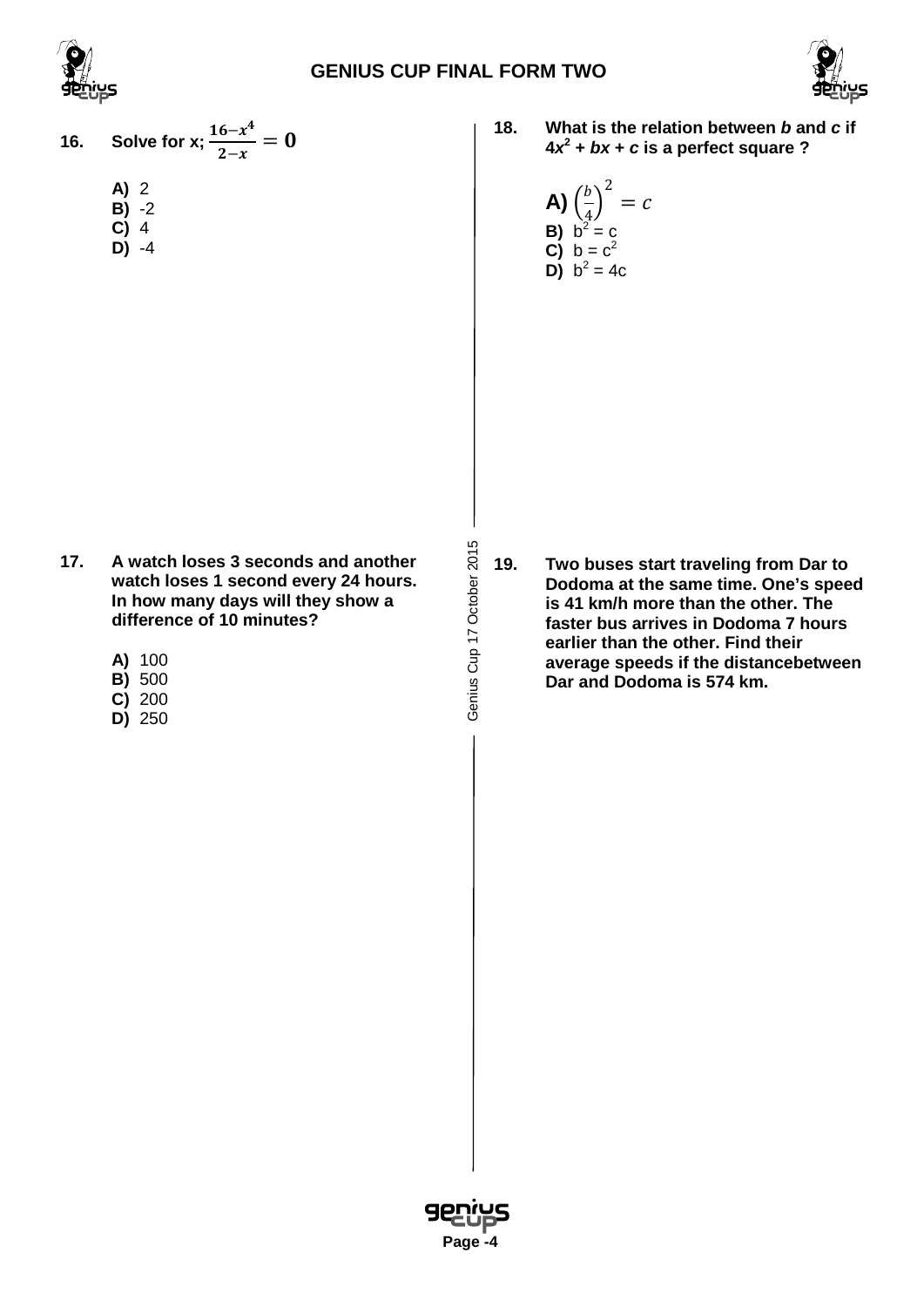





- **16. Solve** for **x**;  $\frac{16-x^4}{2-x^4}$  $\frac{1}{2-x} = 0$ **A)** 2
	- **B)** -2
	- **C)** 4 **D)** -4

- **17. A watch loses 3 seconds and another watch loses 1 second every 24 hours. In how many days will they show a difference of 10 minutes?**
	- **A)** 100
	- **B)** 500
	- **C)** 200 **D)** 250

**18. What is the relation between** *b* **and** *c* **if**   $4x^2 + bx + c$  is a perfect square ?

**A)** 
$$
\left(\frac{b}{4}\right)^2 = c
$$
  
\n**B)**  $b^2 = c$   
\n**C)**  $b = c^2$   
\n**D)**  $b^2 = 4c$ 

**19. Two buses start traveling from Dar to Dodoma at the same time. One's speed is 41 km/h more than the other. The faster bus arrives in Dodoma 7 hours earlier than the other. Find their average speeds if the distancebetween Dar and Dodoma is 574 km.**



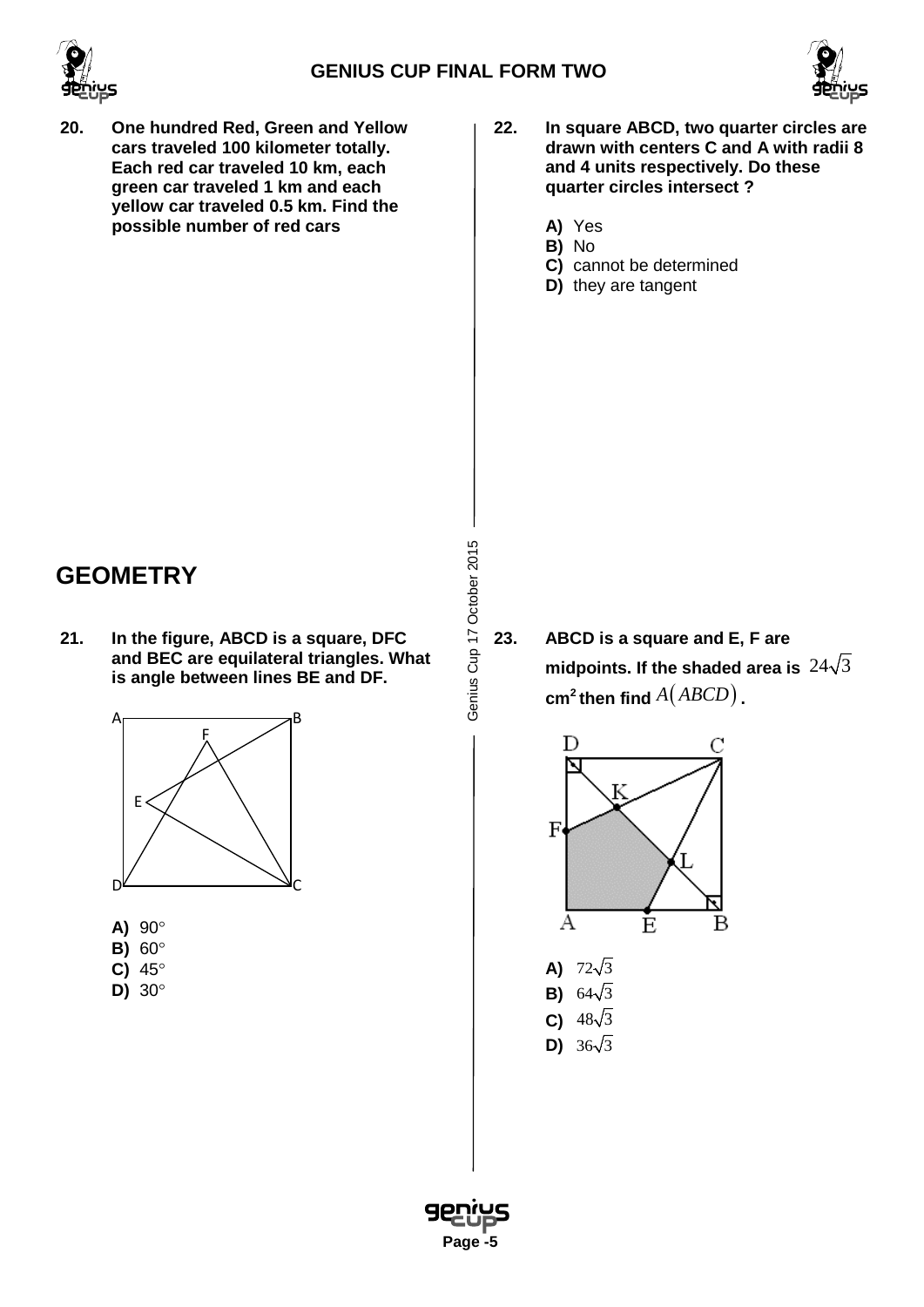



- **20. One hundred Red, Green and Yellow cars traveled 100 kilometer totally. Each red car traveled 10 km, each green car traveled 1 km and each yellow car traveled 0.5 km. Find the possible number of red cars**
- **22. In square ABCD, two quarter circles are drawn with centers C and A with radii 8 and 4 units respectively. Do these quarter circles intersect ?**
	- **A)** Yes
	- **B)** No **C)** cannot be determined
	- **D)** they are tangent

## **GEOMETRY**

**21. In the figure, ABCD is a square, DFC and BEC are equilateral triangles. What is angle between lines BE and DF.**



- **A)** 90°
- **B)** 60°
- **C)** 45°
- **D)** 30°



**23. ABCD is a square and E, F are** midpoints. If the shaded area is  $24\sqrt{3}$  $cm<sup>2</sup>$  **then find**  $A(ABCD)$ .



- **A)**  $72\sqrt{3}$
- **B)**  $64\sqrt{3}$
- **C)**  $48\sqrt{3}$
- **D)**  $36\sqrt{3}$

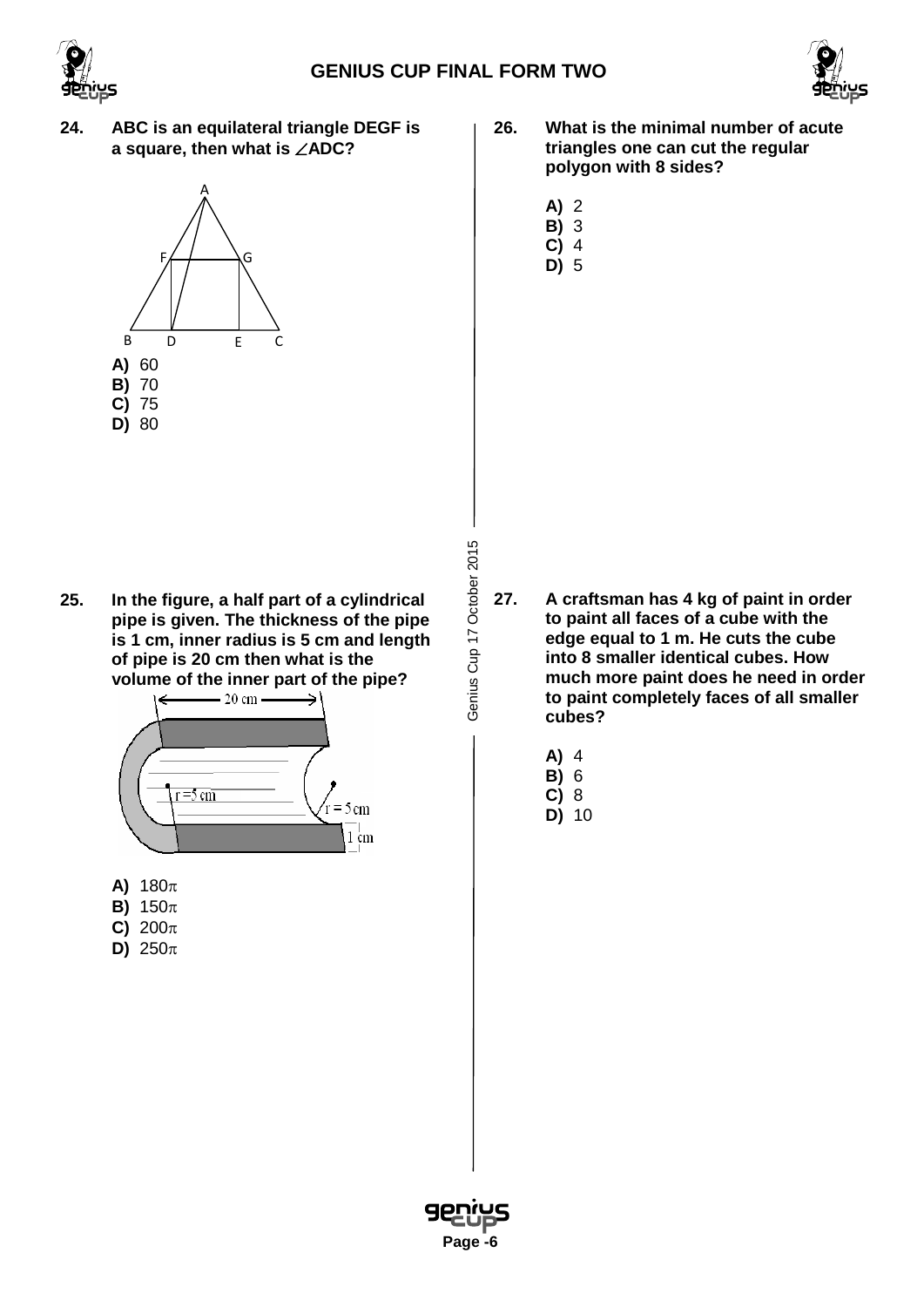



**24. ABC is an equilateral triangle DEGF is a square, then what is** ∠**ADC?**



**25. In the figure, a half part of a cylindrical pipe is given. The thickness of the pipe is 1 cm, inner radius is 5 cm and length of pipe is 20 cm then what is the**



- **A)** 180π
- **B)** 150π
- **C)** 200π
- **D)** 250π

Genius Cup 17 October 2015 Genius Cup 17 October 2015

- **26. What is the minimal number of acute triangles one can cut the regular polygon with 8 sides?**
	- **A)** 2
	- **B)** 3
	- **C)** 4 **D)** 5

- **27. A craftsman has 4 kg of paint in order to paint all faces of a cube with the edge equal to 1 m. He cuts the cube into 8 smaller identical cubes. How much more paint does he need in order to paint completely faces of all smaller cubes?**
	- **A)** 4
	- **B)** 6
	- **C)** 8 **D)** 10

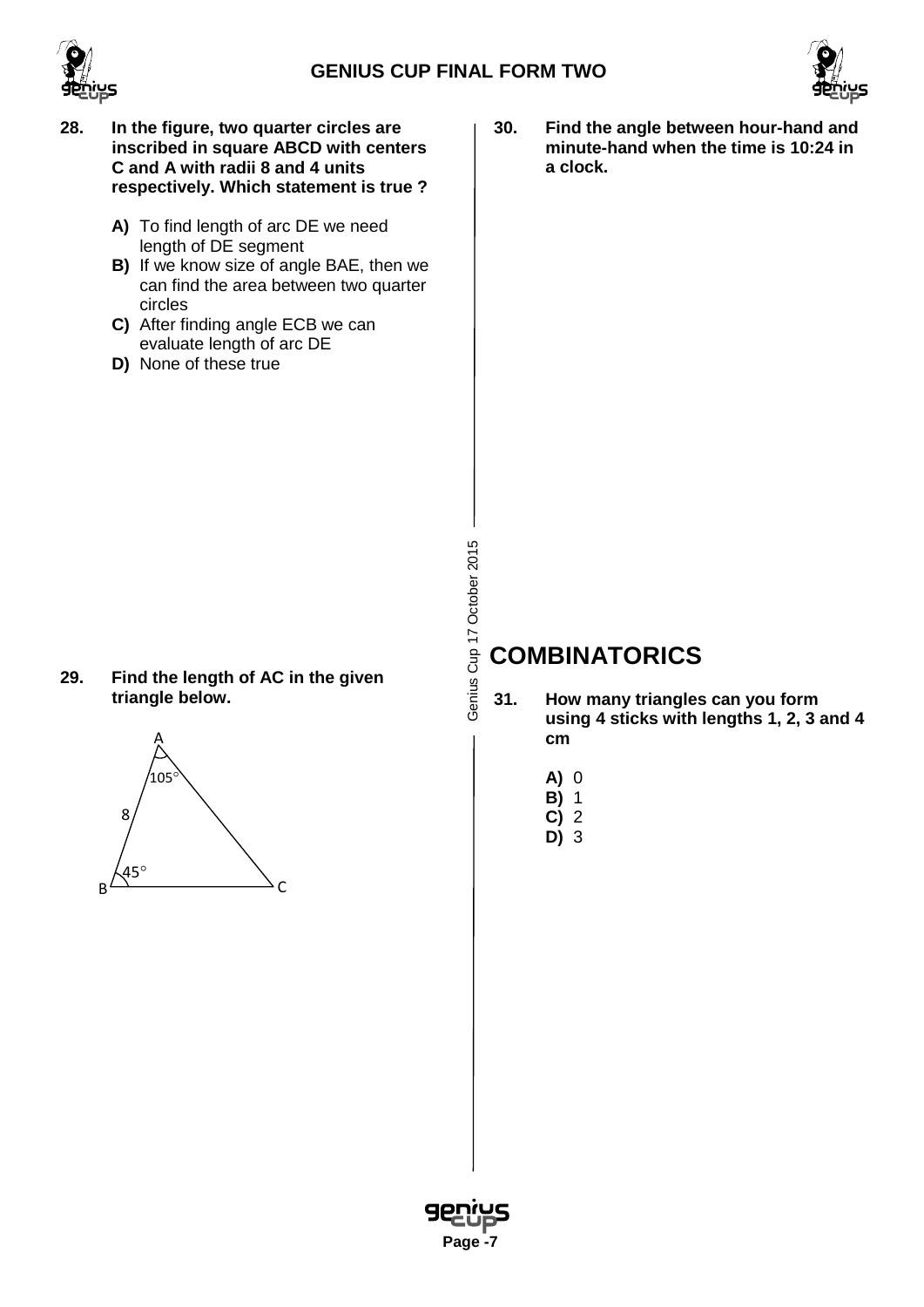





- **28. In the figure, two quarter circles are inscribed in square ABCD with centers C and A with radii 8 and 4 units respectively. Which statement is true ?**
	- **A)** To find length of arc DE we need length of DE segment
	- **B)** If we know size of angle BAE, then we can find the area between two quarter circles
	- **C)** After finding angle ECB we can evaluate length of arc DE
	- **D)** None of these true

**30. Find the angle between hour-hand and minute-hand when the time is 10:24 in a clock.**

# Genius Cup 17 October 2015 Genius Cup 17 October 2015

## **COMBINATORICS**

- **31. How many triangles can you form using 4 sticks with lengths 1, 2, 3 and 4 cm**
	- **A)** 0
	- **B)** 1
	- **C)** 2
	- **D)** 3



**triangle below.**

**29. Find the length of AC in the given**

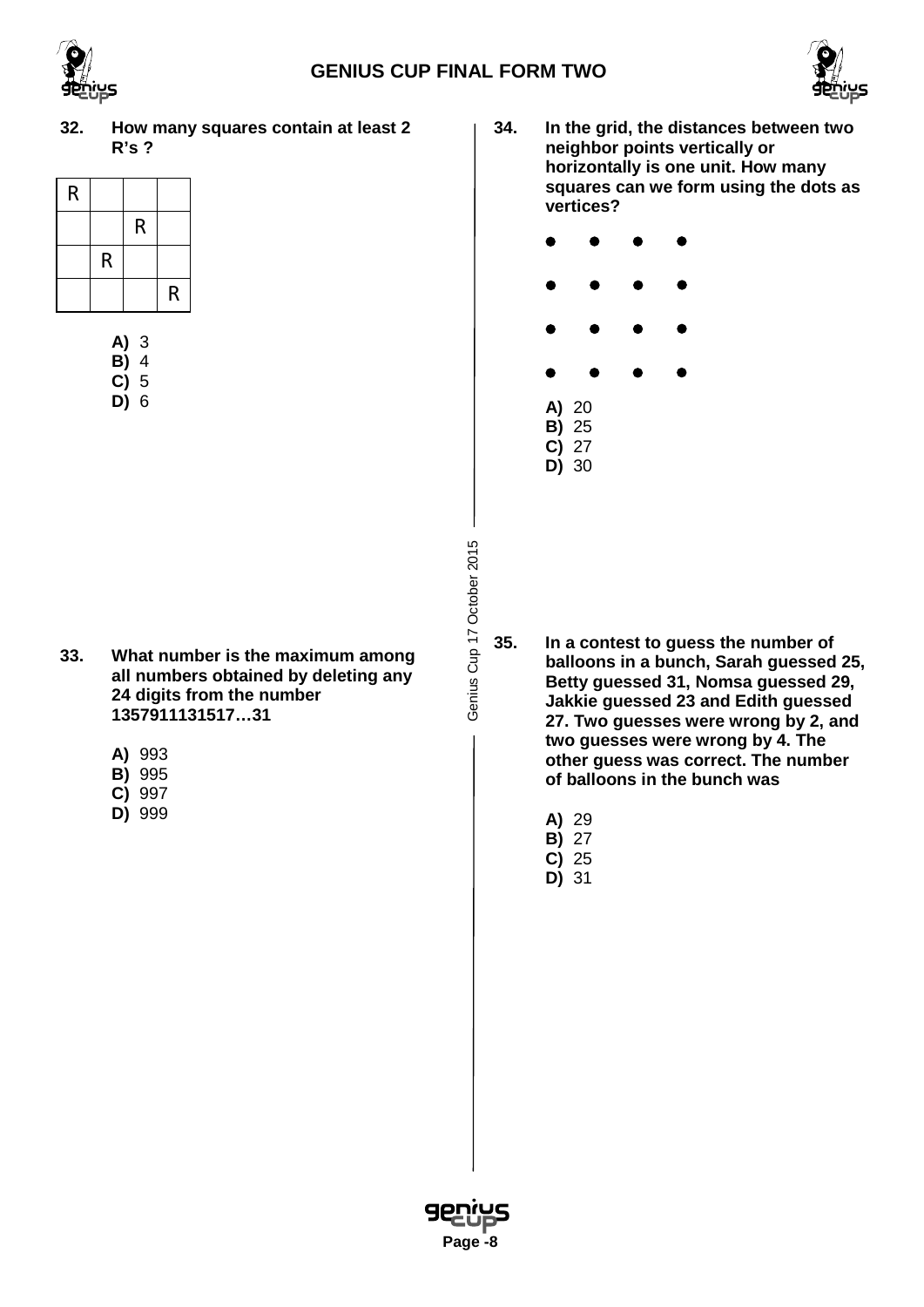

**32. How many squares contain at least 2 R's ?**

| R |   |             |   |
|---|---|-------------|---|
|   |   | $\mathsf R$ |   |
|   | R |             |   |
|   |   |             | R |

| A) | 3 |
|----|---|
| B) | 4 |
| C) | 5 |
| D) | ჩ |

- **33. What number is the maximum among all numbers obtained by deleting any 24 digits from the number 1357911131517…31**
	- **A)** 993
	- **B)** 995
	- **C)** 997
	- **D)** 999

Genius Cup 17 October 2015 Genius Cup 17 October 2015

**34. In the grid, the distances between two neighbor points vertically or horizontally is one unit. How many squares can we form using the dots as vertices?**



- **35. In a contest to guess the number of balloons in a bunch, Sarah guessed 25, Betty guessed 31, Nomsa guessed 29, Jakkie guessed 23 and Edith guessed 27. Two guesses were wrong by 2, and two guesses were wrong by 4. The other guess was correct. The number of balloons in the bunch was**
	- **A)** 29
	- **B)** 27
	- **C)** 25 **D)** 31

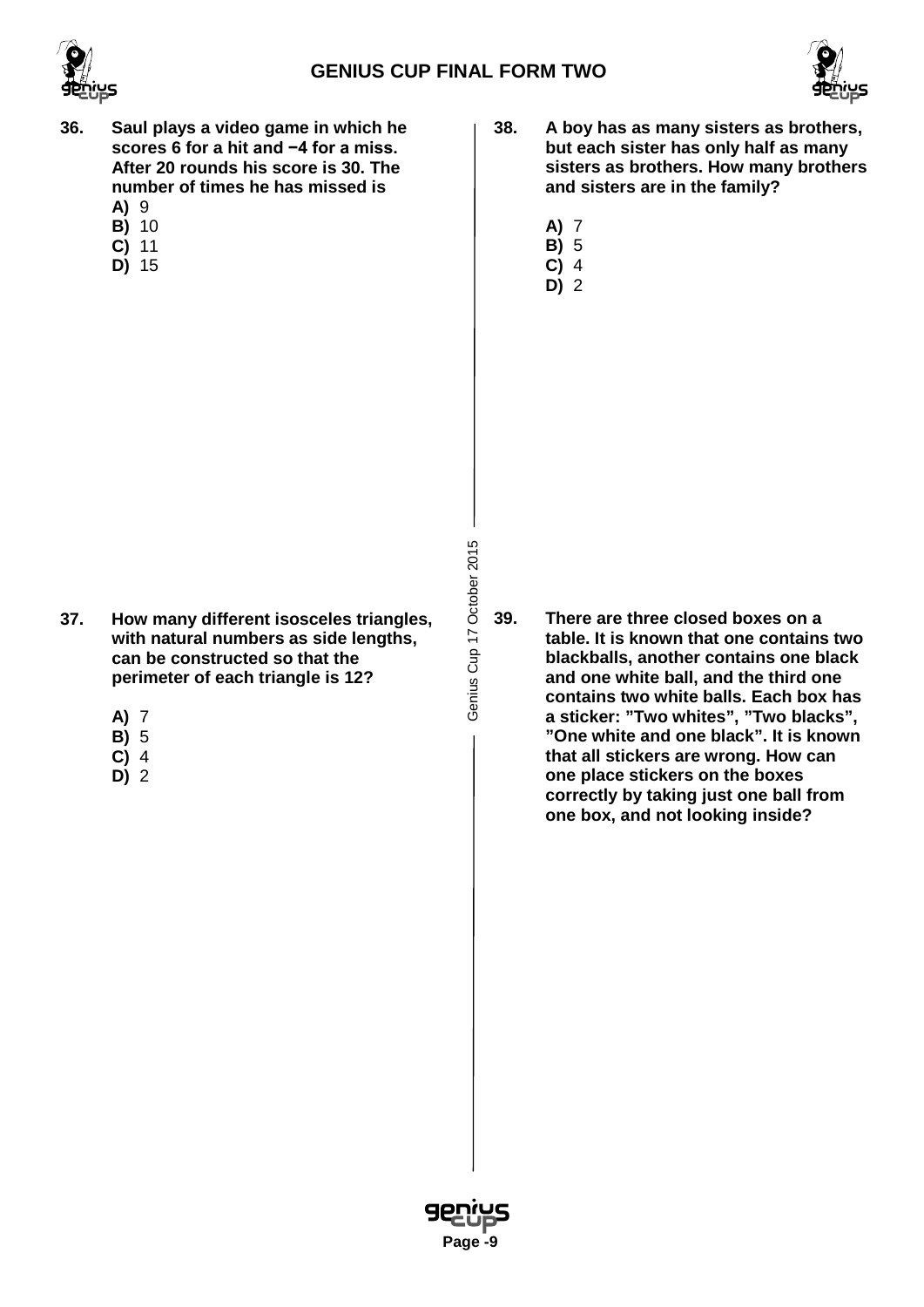



- **36. Saul plays a video game in which he scores 6 for a hit and −4 for a miss. After 20 rounds his score is 30. The number of times he has missed is A)** 9
	- **B)** 10
	- **C)** 11
	- **D)** 15
- **38. A boy has as many sisters as brothers, but each sister has only half as many sisters as brothers. How many brothers and sisters are in the family?** 
	- **A)** 7
	- **B)** 5
	- **C)** 4
	- **D)** 2

- **37. How many different isosceles triangles, with natural numbers as side lengths, can be constructed so that the perimeter of each triangle is 12?**
	- **A)** 7
	- **B)** 5
	- **C)** 4
	- **D)** 2
- Genius Cup 17 October 2015 Genius Cup 17 October 2015
- **39. There are three closed boxes on a table. It is known that one contains two blackballs, another contains one black and one white ball, and the third one contains two white balls. Each box has a sticker: "Two whites", "Two blacks", "One white and one black". It is known that all stickers are wrong. How can one place stickers on the boxes correctly by taking just one ball from one box, and not looking inside?**

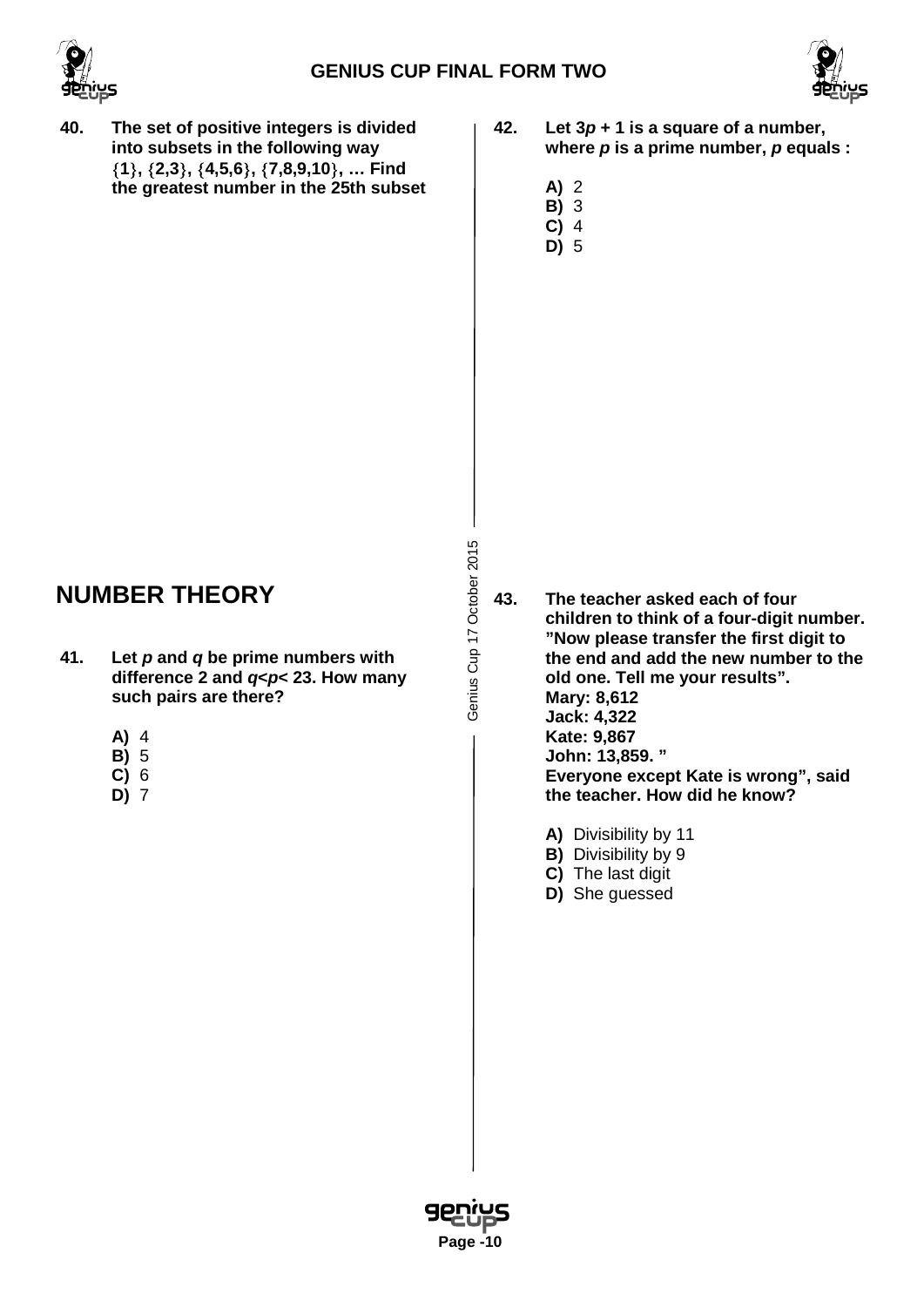



- **40. The set of positive integers is divided into subsets in the following way** {**1**}**,** {**2,3**}**,** {**4,5,6**}**,** {**7,8,9,10**}**, … Find the greatest number in the 25th subset**
- **42. Let 3***p* **+ 1 is a square of a number, where** *p* **is a prime number,** *p* **equals :**
	- **A)** 2
	- **B)** 3
	- **C)** 4
	- **D)** 5

### **NUMBER THEORY**

- **41. Let** *p* **and** *q* **be prime numbers with difference 2 and** *q***<***p***< 23. How many such pairs are there?**
	- **A)** 4
	- **B)** 5
	- **C)** 6 **D)** 7
	-

Genius Cup 17 October 2015 Genius Cup 17 October 2015

**43. The teacher asked each of four children to think of a four-digit number. "Now please transfer the first digit to the end and add the new number to the old one. Tell me your results". Mary: 8,612 Jack: 4,322 Kate: 9,867 John: 13,859. " Everyone except Kate is wrong", said the teacher. How did he know?** 

- **A)** Divisibility by 11
- **B)** Divisibility by 9
- **C)** The last digit
- **D)** She guessed

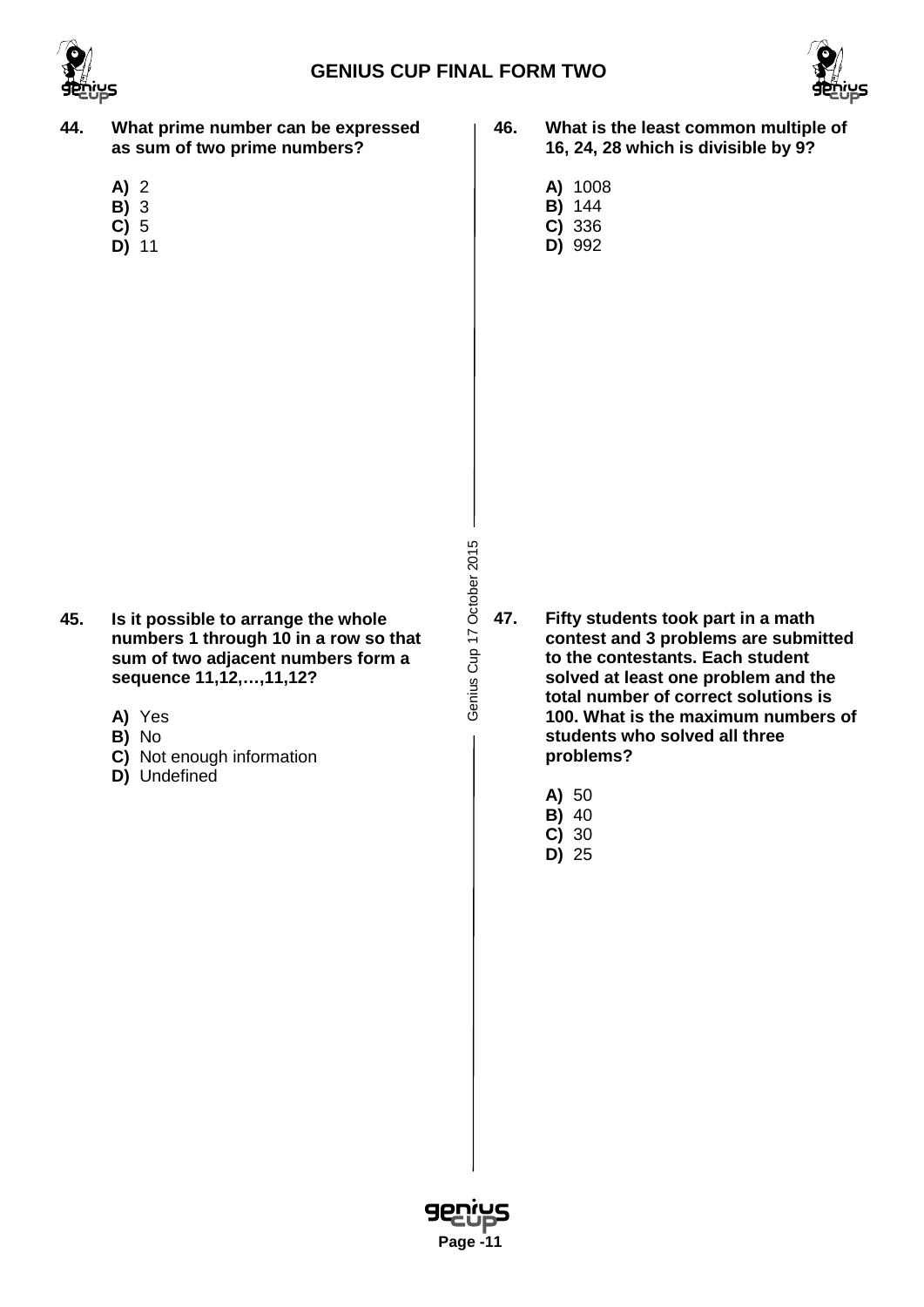



- **44. What prime number can be expressed as sum of two prime numbers?**
	- **A)** 2
	- **B)** 3
	- **C)** 5
	- **D)** 11
- **46. What is the least common multiple of 16, 24, 28 which is divisible by 9?**
	- **A)** 1008
	- **B)** 144
	- **C)** 336 **D)** 992

- **45. Is it possible to arrange the whole numbers 1 through 10 in a row so that sum of two adjacent numbers form a sequence 11,12,…,11,12?**
	- **A)** Yes
	- **B)** No
	- **C)** Not enough information
	- **D)** Undefined

Genius Cup 17 October 2015 Genius Cup 17 October 2015

- **47. Fifty students took part in a math contest and 3 problems are submitted to the contestants. Each student solved at least one problem and the total number of correct solutions is 100. What is the maximum numbers of students who solved all three problems?**
	- **A)** 50
	- **B)** 40
	- **C)** 30
	- **D)** 25